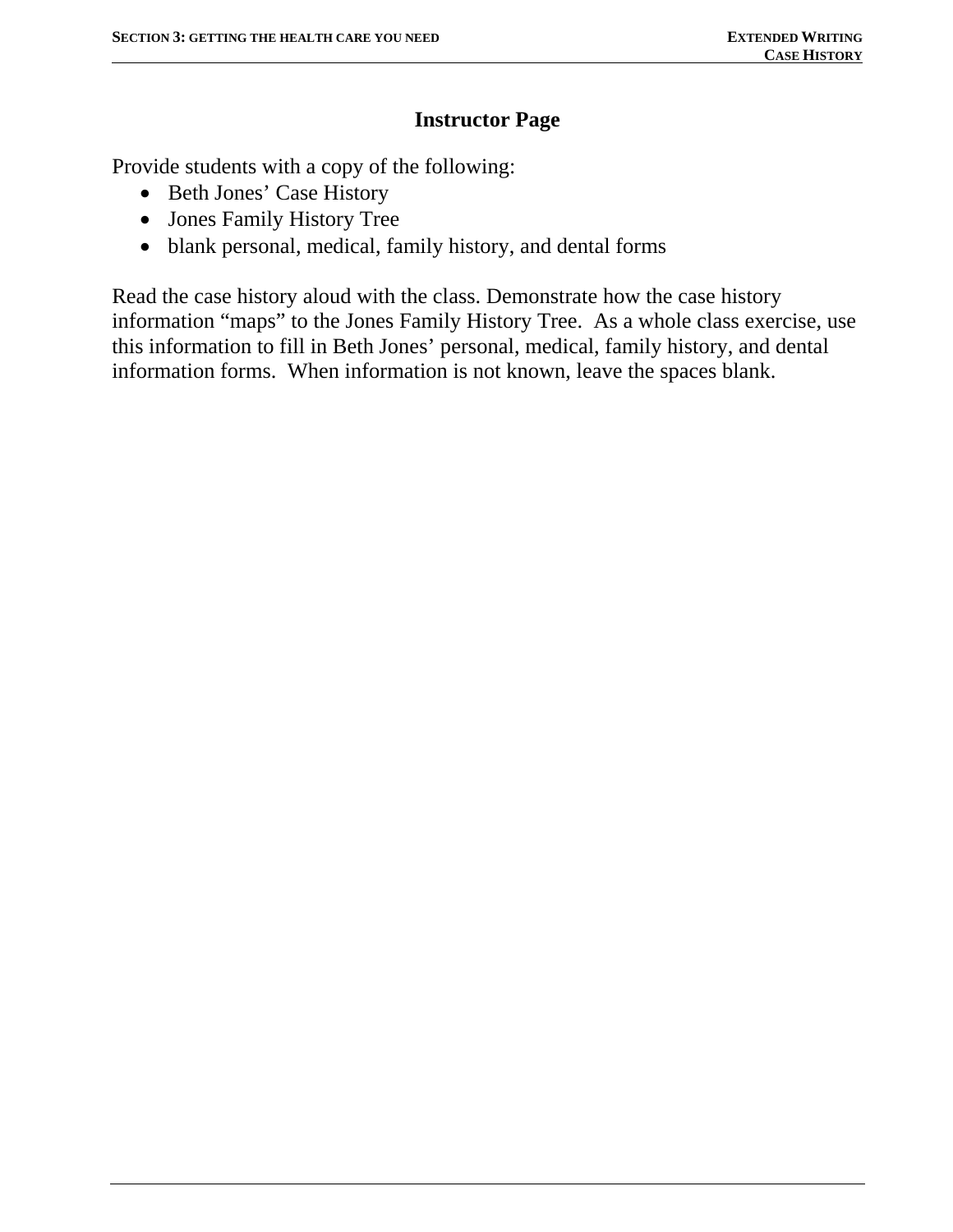### **Instructor Page**

Provide students with a copy of the following:

- Beth Jones' Case History
- Jones Family History Tree
- blank personal, medical, family history, and dental forms

Read the case history aloud with the class. Demonstrate how the case history information "maps" to the Jones Family History Tree. As a whole class exercise, use this information to fill in Beth Jones' personal, medical, family history, and dental information forms. When information is not known, leave the spaces blank.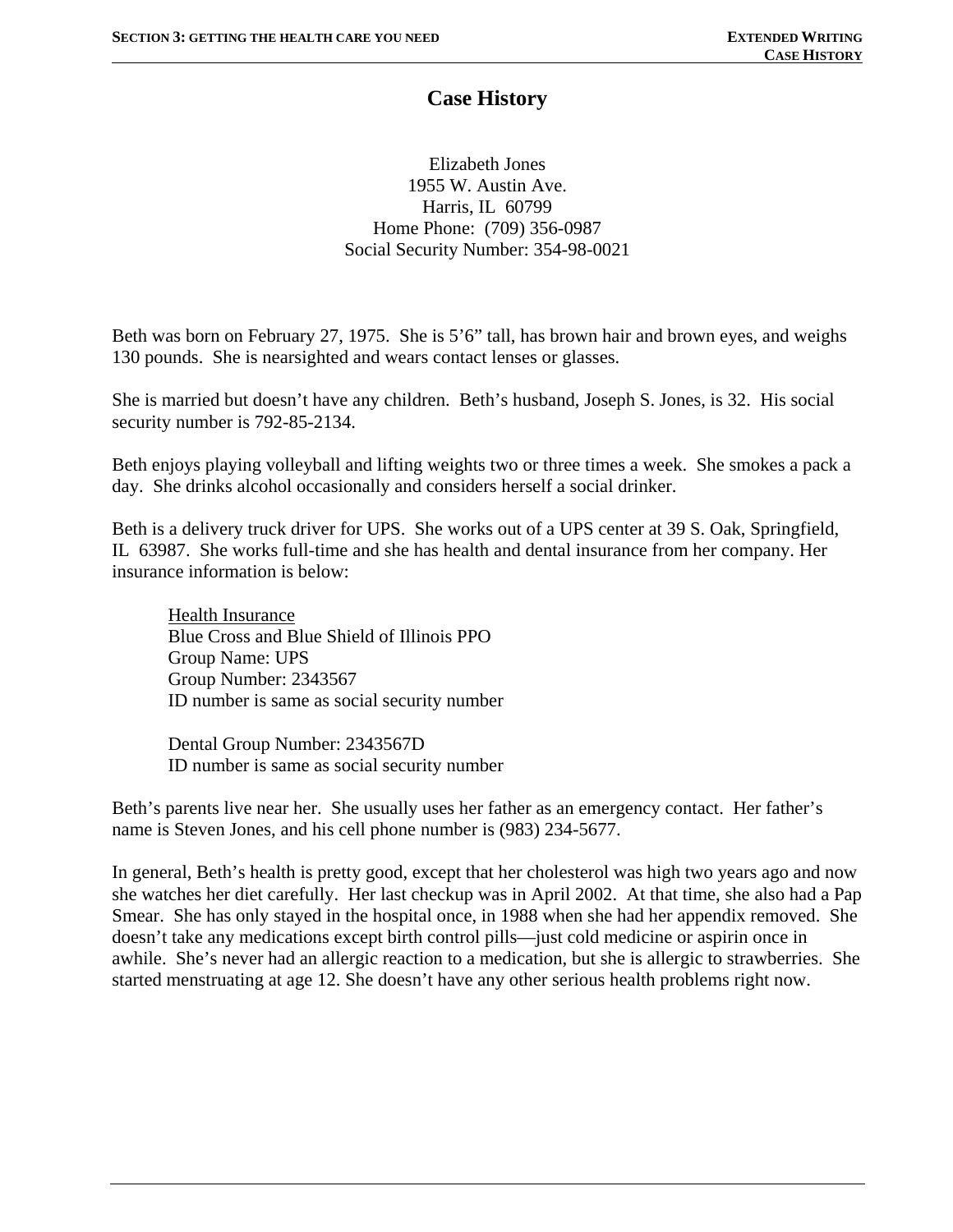### **Case History**

Elizabeth Jones 1955 W. Austin Ave. Harris, IL 60799 Home Phone: (709) 356-0987 Social Security Number: 354-98-0021

Beth was born on February 27, 1975. She is 5'6" tall, has brown hair and brown eyes, and weighs 130 pounds. She is nearsighted and wears contact lenses or glasses.

She is married but doesn't have any children. Beth's husband, Joseph S. Jones, is 32. His social security number is 792-85-2134.

Beth enjoys playing volleyball and lifting weights two or three times a week. She smokes a pack a day. She drinks alcohol occasionally and considers herself a social drinker.

Beth is a delivery truck driver for UPS. She works out of a UPS center at 39 S. Oak, Springfield, IL 63987. She works full-time and she has health and dental insurance from her company. Her insurance information is below:

Health Insurance Blue Cross and Blue Shield of Illinois PPO Group Name: UPS Group Number: 2343567 ID number is same as social security number

Dental Group Number: 2343567D ID number is same as social security number

Beth's parents live near her. She usually uses her father as an emergency contact. Her father's name is Steven Jones, and his cell phone number is (983) 234-5677.

In general, Beth's health is pretty good, except that her cholesterol was high two years ago and now she watches her diet carefully. Her last checkup was in April 2002. At that time, she also had a Pap Smear. She has only stayed in the hospital once, in 1988 when she had her appendix removed. She doesn't take any medications except birth control pills—just cold medicine or aspirin once in awhile. She's never had an allergic reaction to a medication, but she is allergic to strawberries. She started menstruating at age 12. She doesn't have any other serious health problems right now.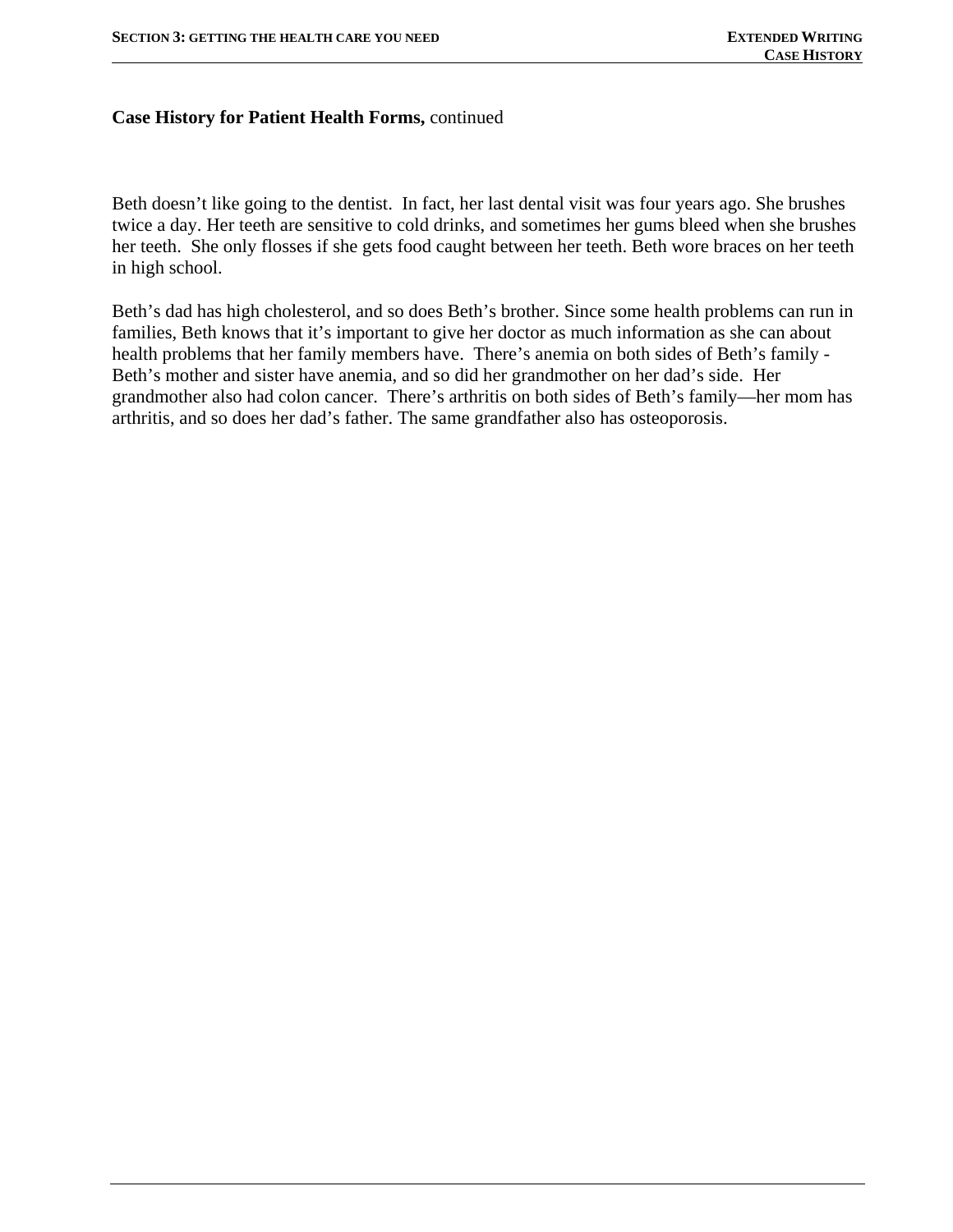#### **Case History for Patient Health Forms,** continued

Beth doesn't like going to the dentist. In fact, her last dental visit was four years ago. She brushes twice a day. Her teeth are sensitive to cold drinks, and sometimes her gums bleed when she brushes her teeth. She only flosses if she gets food caught between her teeth. Beth wore braces on her teeth in high school.

Beth's dad has high cholesterol, and so does Beth's brother. Since some health problems can run in families, Beth knows that it's important to give her doctor as much information as she can about health problems that her family members have. There's anemia on both sides of Beth's family - Beth's mother and sister have anemia, and so did her grandmother on her dad's side. Her grandmother also had colon cancer. There's arthritis on both sides of Beth's family—her mom has arthritis, and so does her dad's father. The same grandfather also has osteoporosis.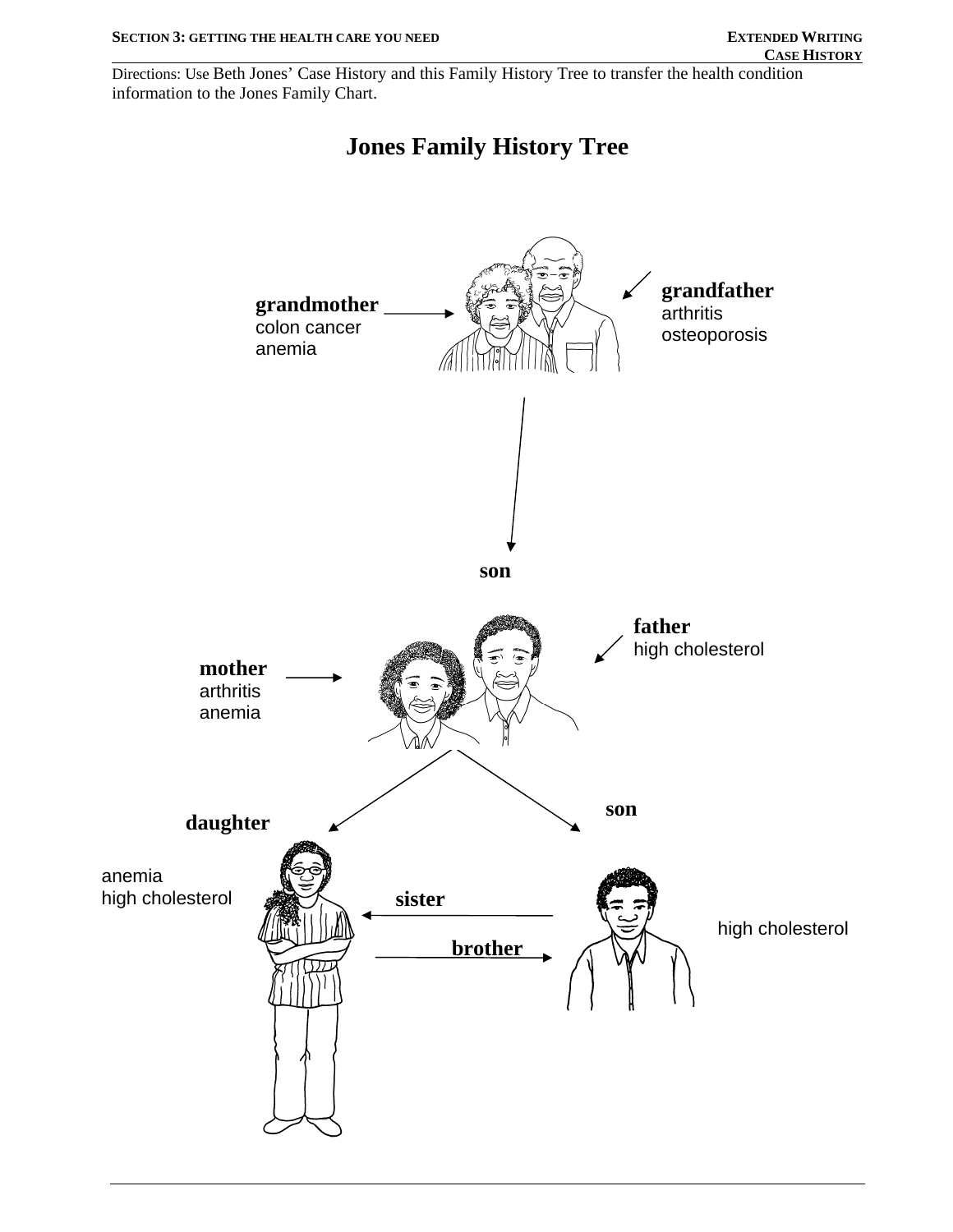Directions: Use Beth Jones' Case History and this Family History Tree to transfer the health condition information to the Jones Family Chart.



# **Jones Family History Tree**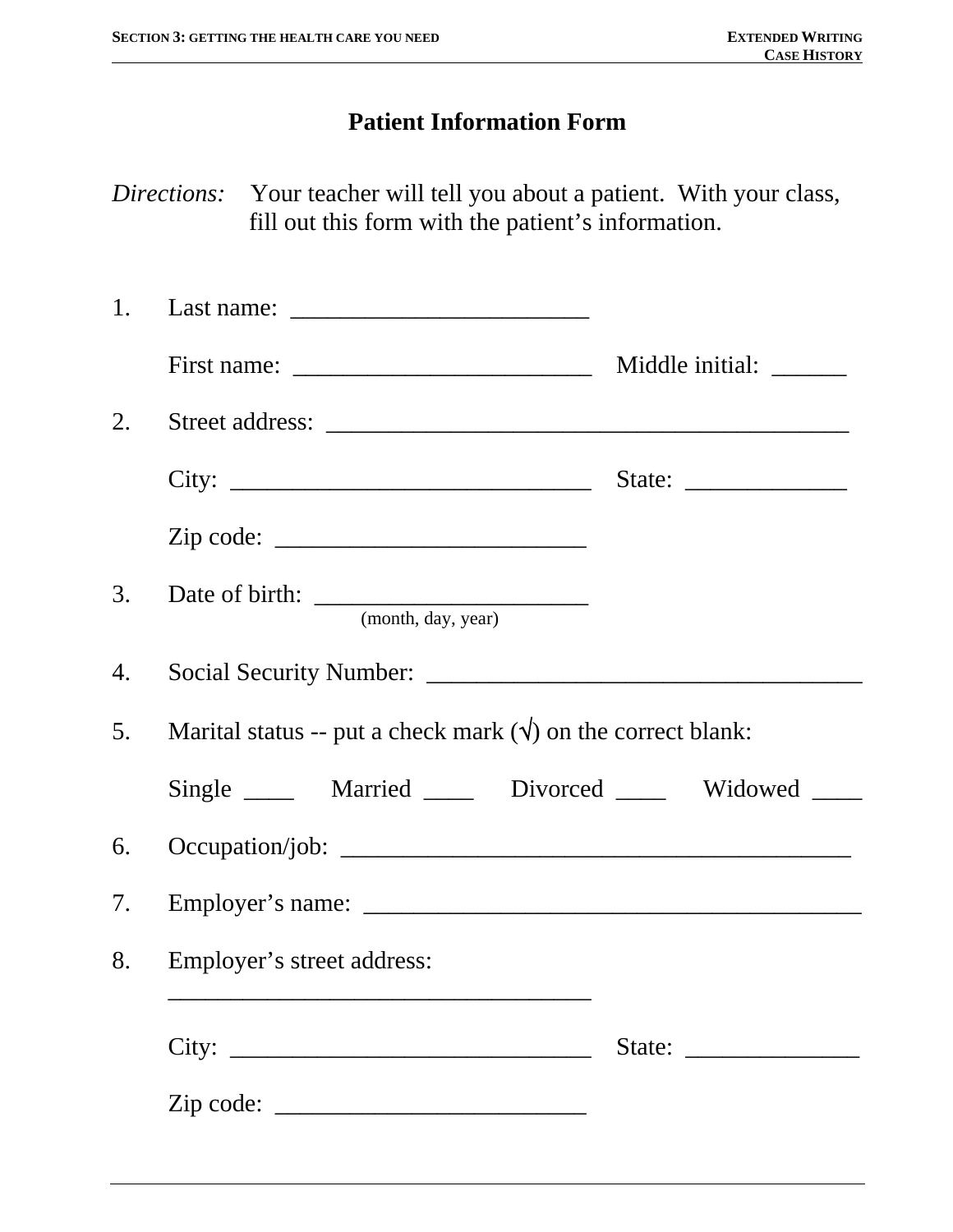# **Patient Information Form**

*Directions:* Your teacher will tell you about a patient. With your class, fill out this form with the patient's information.

|    | First name: $\frac{1}{\sqrt{1-\frac{1}{2}} \cdot \frac{1}{2}}$          | Middle initial: _______     |
|----|-------------------------------------------------------------------------|-----------------------------|
| 2. |                                                                         |                             |
|    |                                                                         | State: $\frac{2}{\sqrt{2}}$ |
|    | $\mathsf{Zip code: }$                                                   |                             |
|    | (month, day, year)                                                      |                             |
| 4. |                                                                         |                             |
|    | 5. Marital status -- put a check mark $(\sqrt{})$ on the correct blank: |                             |
|    | Single ______ Married _____ Divorced _____ Widowed ____                 |                             |
|    |                                                                         |                             |
|    |                                                                         |                             |
|    | 8. Employer's street address:                                           |                             |
|    |                                                                         |                             |
|    | $\mathsf{Zip code: }$                                                   |                             |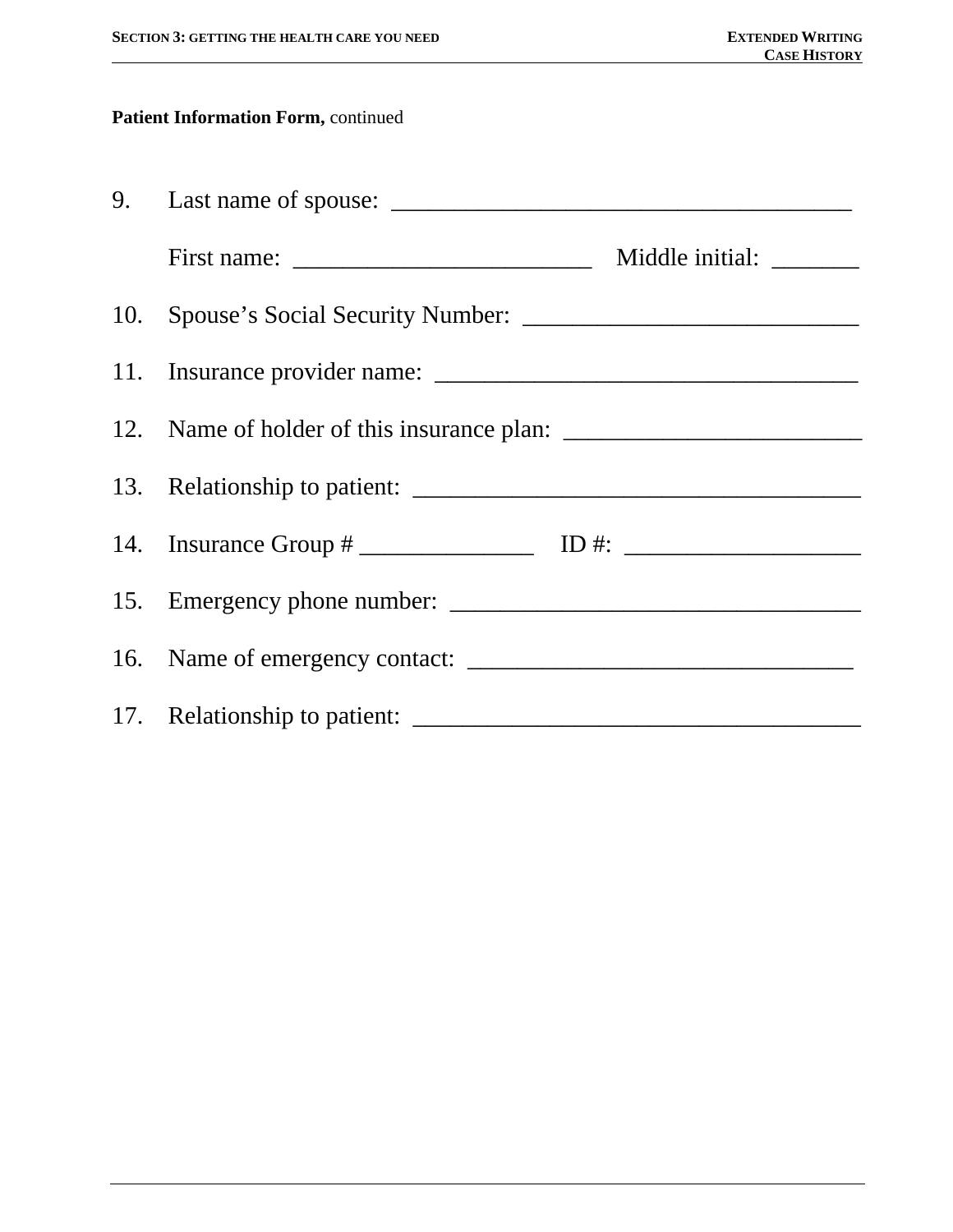### **Patient Information Form,** continued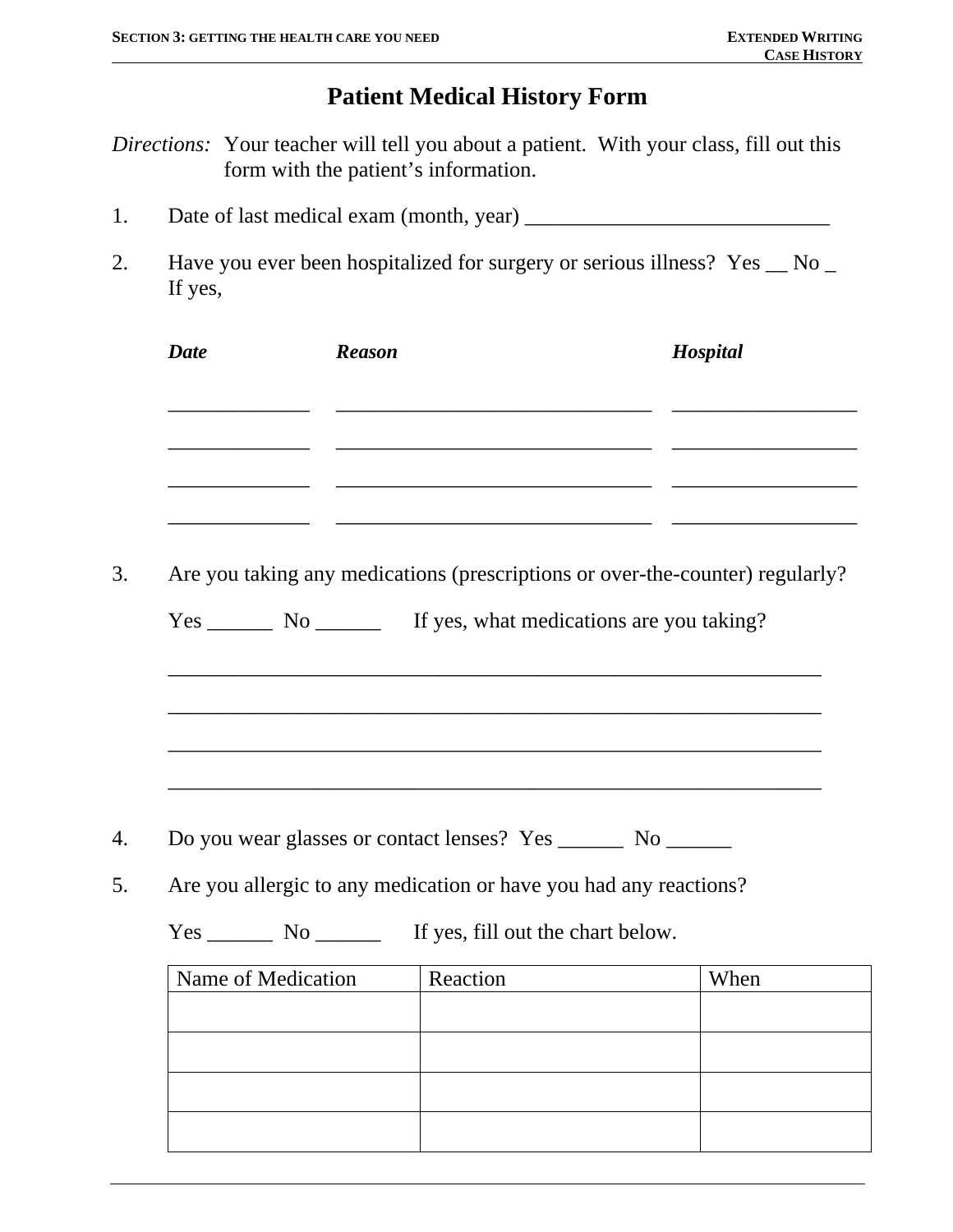# **Patient Medical History Form**

*Directions:* Your teacher will tell you about a patient. With your class, fill out this form with the patient's information.

- 1. Date of last medical exam (month, year) \_\_\_\_\_\_\_\_\_\_\_\_\_\_\_\_\_\_\_\_\_\_\_\_\_\_\_\_
- 2. Have you ever been hospitalized for surgery or serious illness? Yes  $\_\,$  No  $\_$ If yes,

| <b>Date</b>        | <b>Reason</b> |                                                                                                                        | Hospital                                                                      |
|--------------------|---------------|------------------------------------------------------------------------------------------------------------------------|-------------------------------------------------------------------------------|
|                    |               | <u> 1989 - Johann Stein, marwolaethau a bhann an t-Alban ann an t-Alban an t-Alban an t-Alban an t-Alban an t-Alb</u>  |                                                                               |
|                    |               | <u> 1989 - Johann John Stone, market fan it ferskearre fan it ferskearre fan it ferskearre fan it ferskearre fan i</u> |                                                                               |
|                    |               |                                                                                                                        |                                                                               |
|                    |               |                                                                                                                        | Are you taking any medications (prescriptions or over-the-counter) regularly? |
|                    |               | Yes _________ No ____________ If yes, what medications are you taking?                                                 |                                                                               |
|                    |               |                                                                                                                        |                                                                               |
|                    |               |                                                                                                                        |                                                                               |
|                    |               |                                                                                                                        |                                                                               |
|                    |               |                                                                                                                        |                                                                               |
|                    |               |                                                                                                                        |                                                                               |
|                    |               |                                                                                                                        |                                                                               |
|                    |               |                                                                                                                        |                                                                               |
|                    |               | Are you allergic to any medication or have you had any reactions?                                                      |                                                                               |
|                    |               |                                                                                                                        |                                                                               |
|                    |               |                                                                                                                        |                                                                               |
| Name of Medication |               | Reaction                                                                                                               | When                                                                          |
|                    |               |                                                                                                                        |                                                                               |
|                    |               |                                                                                                                        |                                                                               |
|                    |               |                                                                                                                        |                                                                               |
|                    |               |                                                                                                                        |                                                                               |
|                    |               |                                                                                                                        |                                                                               |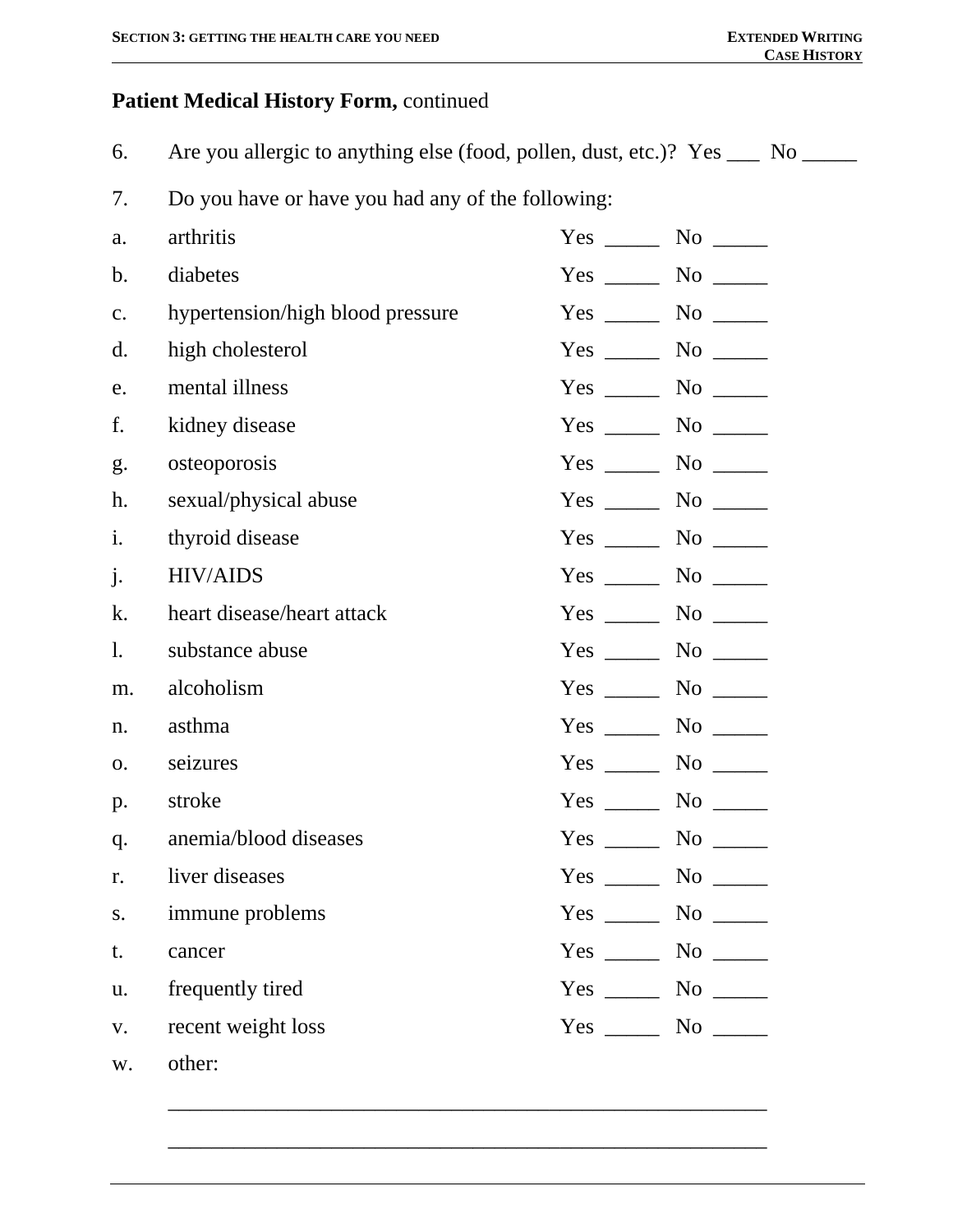## **Patient Medical History Form,** continued

6. Are you allergic to anything else (food, pollen, dust, etc.)? Yes \_\_\_ No \_\_\_\_

7. Do you have or have you had any of the following:

| a.             | arthritis                        | $Yes \_\_$ |                                   |
|----------------|----------------------------------|------------|-----------------------------------|
| b.             | diabetes                         |            |                                   |
| c.             | hypertension/high blood pressure |            |                                   |
| $\mathbf{d}$ . | high cholesterol                 | $Yes \_\_$ |                                   |
| e.             | mental illness                   |            | $\rm No$ $\qquad$                 |
| f.             | kidney disease                   |            | $\rm No$ $\qquad \qquad$          |
| g.             | osteoporosis                     | $Yes \_\_$ | $\rm No$ $\qquad \qquad$          |
| h.             | sexual/physical abuse            | $Yes \_\_$ |                                   |
| i.             | thyroid disease                  | $Yes \_\_$ |                                   |
| $\mathbf{j}$ . | <b>HIV/AIDS</b>                  |            | $\rm No$ $\qquad \qquad$          |
| k.             | heart disease/heart attack       | $Yes \_\_$ | $\rm No$ $\qquad \qquad$          |
| 1.             | substance abuse                  |            | $Yes \_\_\_\_\$ No $\_\_\_\_\$    |
| m.             | alcoholism                       |            |                                   |
| n.             | asthma                           |            | $\rm No$ $\qquad \qquad$          |
| 0.             | seizures                         |            | No not                            |
| p.             | stroke                           |            | $No$ <sub>_____</sub>             |
| q.             | anemia/blood diseases            | $Yes \_\_$ |                                   |
| r.             | liver diseases                   | $Yes \_\_$ |                                   |
| S.             | immune problems                  | $Yes \_\_$ |                                   |
| t.             | cancer                           |            | $Yes \_\_\_\_\$ No $\_\_\_\_\$    |
| u.             | frequently tired                 |            | $Yes \_\_\_\_ No \_\_\_\_$        |
| V.             | recent weight loss               |            | $Yes \_\_\_\_\\$ No $\_\_\_\_\_\$ |
| W.             | other:                           |            |                                   |

\_\_\_\_\_\_\_\_\_\_\_\_\_\_\_\_\_\_\_\_\_\_\_\_\_\_\_\_\_\_\_\_\_\_\_\_\_\_\_\_\_\_\_\_\_\_\_\_\_\_\_\_\_\_\_

 $\overline{\phantom{a}}$  ,  $\overline{\phantom{a}}$  ,  $\overline{\phantom{a}}$  ,  $\overline{\phantom{a}}$  ,  $\overline{\phantom{a}}$  ,  $\overline{\phantom{a}}$  ,  $\overline{\phantom{a}}$  ,  $\overline{\phantom{a}}$  ,  $\overline{\phantom{a}}$  ,  $\overline{\phantom{a}}$  ,  $\overline{\phantom{a}}$  ,  $\overline{\phantom{a}}$  ,  $\overline{\phantom{a}}$  ,  $\overline{\phantom{a}}$  ,  $\overline{\phantom{a}}$  ,  $\overline{\phantom{a}}$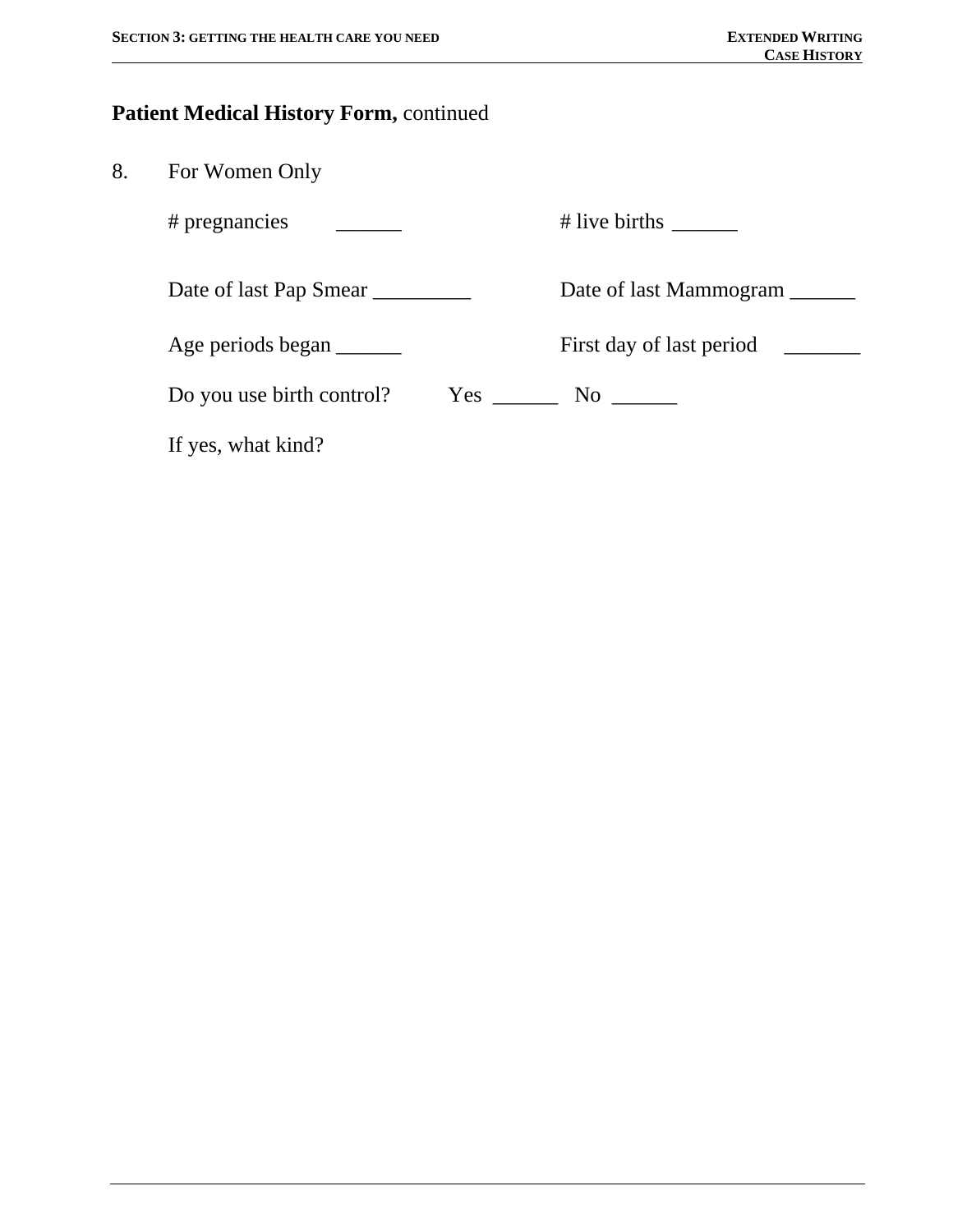#### **Patient Medical History Form,** continued

# pregnancies  $\qquad \qquad \qquad$  # live births \_\_\_\_\_\_\_

Date of last Pap Smear \_\_\_\_\_\_\_\_\_\_\_\_ Date of last Mammogram \_\_\_\_\_\_

Age periods began \_\_\_\_\_\_\_ First day of last period \_\_\_\_\_\_

Do you use birth control? Yes \_\_\_\_\_\_\_\_ No \_\_\_\_\_\_\_

If yes, what kind?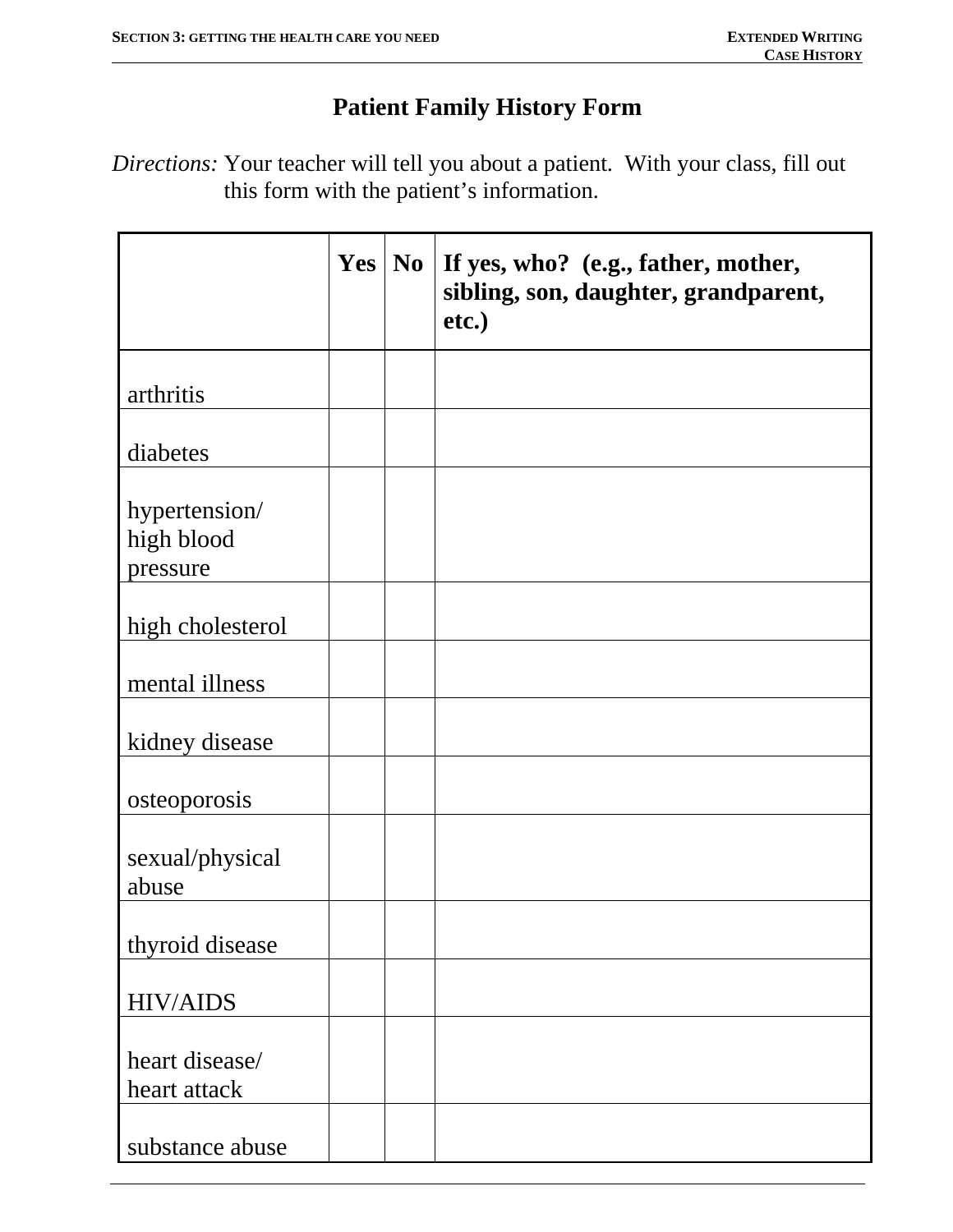# **Patient Family History Form**

*Directions:* Your teacher will tell you about a patient. With your class, fill out this form with the patient's information.

|                                         | Yes | N <sub>0</sub> | If yes, who? (e.g., father, mother,<br>sibling, son, daughter, grandparent,<br>etc.) |
|-----------------------------------------|-----|----------------|--------------------------------------------------------------------------------------|
| arthritis                               |     |                |                                                                                      |
| diabetes                                |     |                |                                                                                      |
| hypertension/<br>high blood<br>pressure |     |                |                                                                                      |
| high cholesterol                        |     |                |                                                                                      |
| mental illness                          |     |                |                                                                                      |
| kidney disease                          |     |                |                                                                                      |
| osteoporosis                            |     |                |                                                                                      |
| sexual/physical<br>abuse                |     |                |                                                                                      |
| thyroid disease                         |     |                |                                                                                      |
| <b>HIV/AIDS</b>                         |     |                |                                                                                      |
| heart disease/<br>heart attack          |     |                |                                                                                      |
| substance abuse                         |     |                |                                                                                      |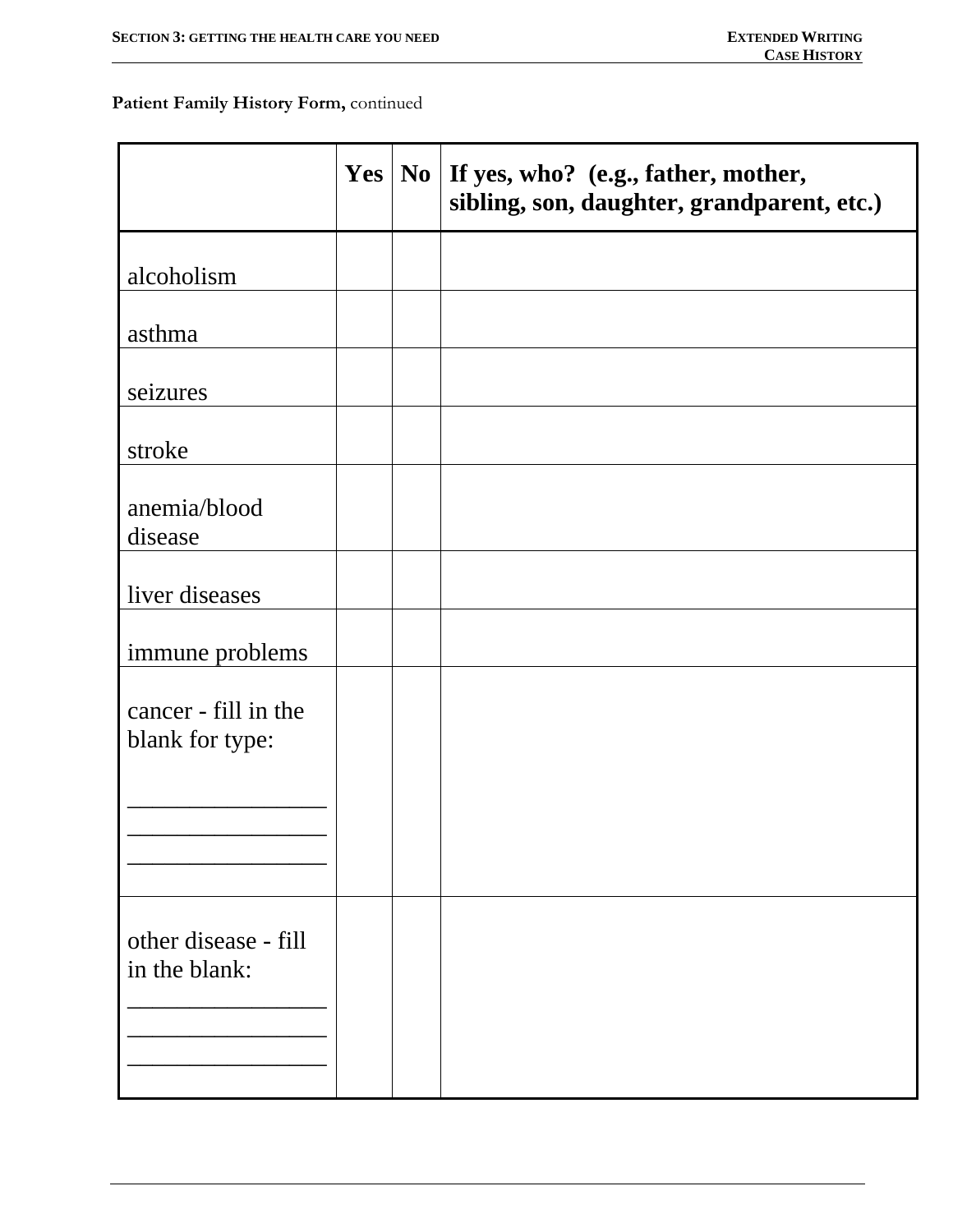### **Patient Family History Form,** continued

|                                         | $Yes \mid No$ | If yes, who? (e.g., father, mother,<br>sibling, son, daughter, grandparent, etc.) |
|-----------------------------------------|---------------|-----------------------------------------------------------------------------------|
| alcoholism                              |               |                                                                                   |
| asthma                                  |               |                                                                                   |
| seizures                                |               |                                                                                   |
| stroke                                  |               |                                                                                   |
| anemia/blood<br>disease                 |               |                                                                                   |
| liver diseases                          |               |                                                                                   |
| immune problems                         |               |                                                                                   |
| cancer - fill in the<br>blank for type: |               |                                                                                   |
|                                         |               |                                                                                   |
| other disease - fill<br>in the blank:   |               |                                                                                   |
|                                         |               |                                                                                   |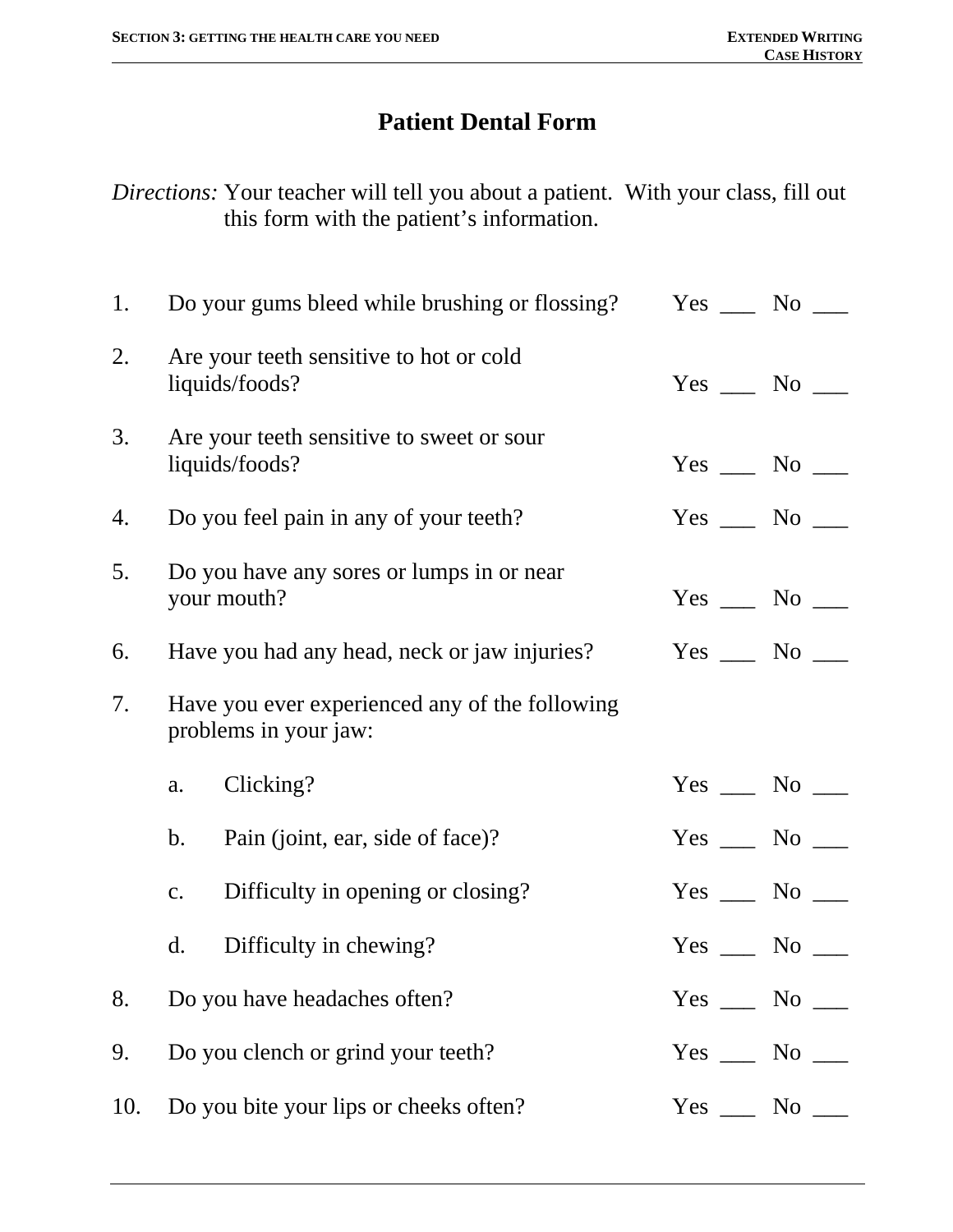# **Patient Dental Form**

*Directions:* Your teacher will tell you about a patient. With your class, fill out this form with the patient's information.

| 1.  |                | Do your gums bleed while brushing or flossing?                          | $Yes \_\_ No \_\_$ |  |
|-----|----------------|-------------------------------------------------------------------------|--------------------|--|
| 2.  |                | Are your teeth sensitive to hot or cold<br>liquids/foods?               | $Yes \_\_ No \_\_$ |  |
| 3.  |                | Are your teeth sensitive to sweet or sour<br>liquids/foods?             | $Yes \_\_ No \_\_$ |  |
| 4.  |                | Do you feel pain in any of your teeth?                                  | $Yes \_\_ No \_\_$ |  |
| 5.  |                | Do you have any sores or lumps in or near<br>your mouth?                | $Yes \_\_ No \_\_$ |  |
| 6.  |                | Have you had any head, neck or jaw injuries?                            | $Yes \_\_ No \_\_$ |  |
| 7.  |                | Have you ever experienced any of the following<br>problems in your jaw: |                    |  |
|     | a.             | Clicking?                                                               | $Yes \_\_ No \_\_$ |  |
|     | $\mathbf{b}$ . | Pain (joint, ear, side of face)?                                        | $Yes \_\_ No \_\_$ |  |
|     | $C_{\bullet}$  | Difficulty in opening or closing?                                       | $Yes \_\_ No \_\_$ |  |
|     | $\mathbf{d}$ . | Difficulty in chewing?                                                  | $Yes \_\_ No \_\_$ |  |
| 8.  |                | Do you have headaches often?                                            | $Yes \_\_ No \_\_$ |  |
| 9.  |                | Do you clench or grind your teeth?                                      | $Yes \_\_ No \_\_$ |  |
| 10. |                | Do you bite your lips or cheeks often?                                  | $Yes \_\_ No \_\_$ |  |